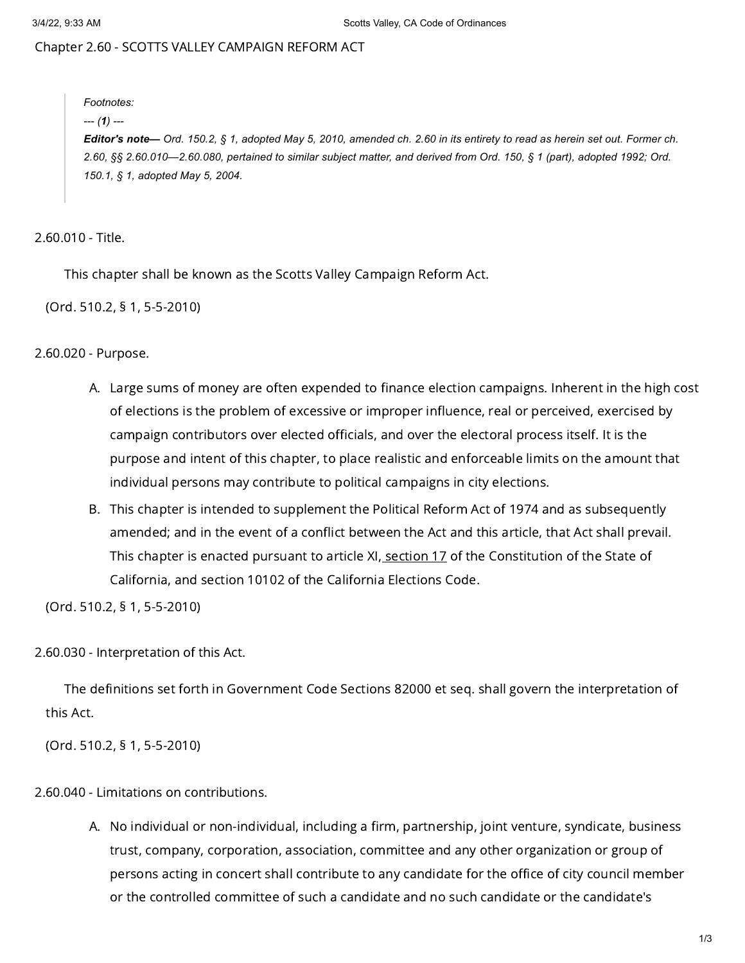## Chapter 2.60 - SCOTTS VALLEY CAMPAIGN REFORM ACT

*Footnotes: --- (1) ---* Editor's note- Ord. 150.2, § 1, adopted May 5, 2010, amended ch. 2.60 in its entirety to read as herein set out. Former ch. 2.60, §§ 2.60.010-2.60.080, pertained to similar subject matter, and derived from Ord. 150, § 1 (part), adopted 1992; Ord. *150.1, § 1, adopted May 5, 2004.*

2.60.010 - Title.

This chapter shall be known as the Scotts Valley Campaign Reform Act.

(Ord. 510.2, § 1, 5-5-2010)

2.60.020 - Purpose.

- A. Large sums of money are often expended to finance election campaigns. Inherent in the high cost of elections is the problem of excessive or improper influence, real or perceived, exercised by campaign contributors over elected officials, and over the electoral process itself. It is the purpose and intent of this chapter, to place realistic and enforceable limits on the amount that individual persons may contribute to political campaigns in city elections.
- B. This chapter is intended to supplement the Political Reform Act of 1974 and as subsequently amended; and in the event of a conflict between the Act and this article, that Act shall prevail. This chapter is enacted pursuant to article XI, [section](https://library.municode.com/) 17 of the Constitution of the State of California, and section 10102 of the California Elections Code.

(Ord. 510.2, § 1, 5-5-2010)

2.60.030 - Interpretation of this Act.

The definitions set forth in Government Code Sections 82000 et seq. shall govern the interpretation of this Act.

(Ord. 510.2, § 1, 5-5-2010)

2.60.040 - Limitations on contributions.

A. No individual or non-individual, including a firm, partnership, joint venture, syndicate, business trust, company, corporation, association, committee and any other organization or group of persons acting in concert shall contribute to any candidate for the office of city council member or the controlled committee of such a candidate and no such candidate or the candidate's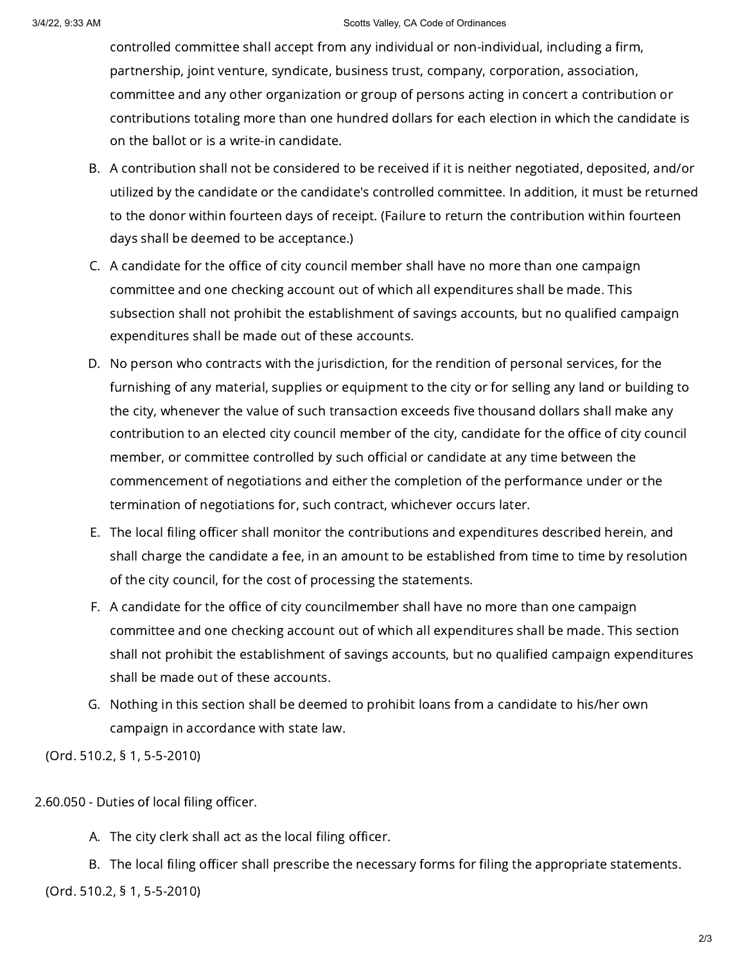## 3/4/22, 9:33 AM Scotts Valley, CA Code of Ordinances

controlled committee shall accept from any individual or non-individual, including a firm, partnership, joint venture, syndicate, business trust, company, corporation, association, committee and any other organization or group of persons acting in concert a contribution or contributions totaling more than one hundred dollars for each election in which the candidate is on the ballot or is a write-in candidate.

- B. A contribution shall not be considered to be received if it is neither negotiated, deposited, and/or utilized by the candidate or the candidate's controlled committee. In addition, it must be returned to the donor within fourteen days of receipt. (Failure to return the contribution within fourteen days shall be deemed to be acceptance.)
- C. A candidate for the office of city council member shall have no more than one campaign committee and one checking account out of which all expenditures shall be made. This subsection shall not prohibit the establishment of savings accounts, but no qualified campaign expenditures shall be made out of these accounts.
- D. No person who contracts with the jurisdiction, for the rendition of personal services, for the furnishing of any material, supplies or equipment to the city or for selling any land or building to the city, whenever the value of such transaction exceeds five thousand dollars shall make any contribution to an elected city council member of the city, candidate for the office of city council member, or committee controlled by such official or candidate at any time between the commencement of negotiations and either the completion of the performance under or the termination of negotiations for, such contract, whichever occurs later.
- E. The local filing officer shall monitor the contributions and expenditures described herein, and shall charge the candidate a fee, in an amount to be established from time to time by resolution of the city council, for the cost of processing the statements.
- F. A candidate for the office of city councilmember shall have no more than one campaign committee and one checking account out of which all expenditures shall be made. This section shall not prohibit the establishment of savings accounts, but no qualified campaign expenditures shall be made out of these accounts.
- G. Nothing in this section shall be deemed to prohibit loans from a candidate to his/her own campaign in accordance with state law.

(Ord. 510.2, § 1, 5-5-2010)

2.60.050 - Duties of local filing officer.

A. The city clerk shall act as the local filing officer.

B. The local filing officer shall prescribe the necessary forms for filing the appropriate statements.

(Ord. 510.2, § 1, 5-5-2010)